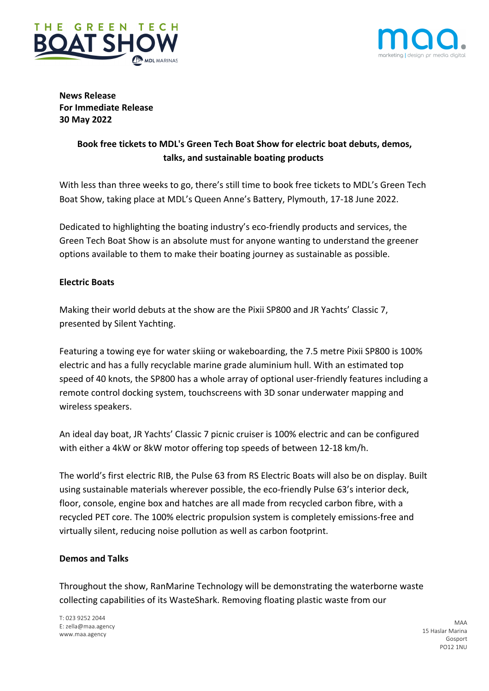



**News Release For Immediate Release 30 May 2022**

# **Book free tickets to MDL's Green Tech Boat Show for electric boat debuts, demos, talks, and sustainable boating products**

With less than three weeks to go, there's still time to book free tickets to MDL's Green Tech Boat Show, taking place at MDL's Queen Anne's Battery, Plymouth, 17-18 June 2022.

Dedicated to highlighting the boating industry's eco-friendly products and services, the Green Tech Boat Show is an absolute must for anyone wanting to understand the greener options available to them to make their boating journey as sustainable as possible.

## **Electric Boats**

Making their world debuts at the show are the Pixii SP800 and JR Yachts' Classic 7, presented by Silent Yachting.

Featuring a towing eye for water skiing or wakeboarding, the 7.5 metre Pixii SP800 is 100% electric and has a fully recyclable marine grade aluminium hull. With an estimated top speed of 40 knots, the SP800 has a whole array of optional user-friendly features including a remote control docking system, touchscreens with 3D sonar underwater mapping and wireless speakers.

An ideal day boat, JR Yachts' Classic 7 picnic cruiser is 100% electric and can be configured with either a 4kW or 8kW motor offering top speeds of between 12-18 km/h.

The world's first electric RIB, the Pulse 63 from RS Electric Boats will also be on display. Built using sustainable materials wherever possible, the eco-friendly Pulse 63's interior deck, floor, console, engine box and hatches are all made from recycled carbon fibre, with a recycled PET core. The 100% electric propulsion system is completely emissions-free and virtually silent, reducing noise pollution as well as carbon footprint.

## **Demos and Talks**

Throughout the show, RanMarine Technology will be demonstrating the waterborne waste collecting capabilities of its WasteShark. Removing floating plastic waste from our

T: 023 9252 2044 E: zella@maa.agency www.maa.agency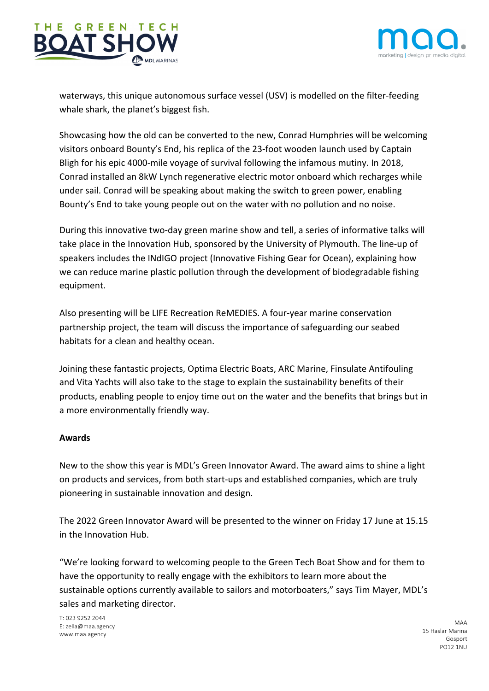



waterways, this unique autonomous surface vessel (USV) is modelled on the filter-feeding whale shark, the planet's biggest fish.

Showcasing how the old can be converted to the new, Conrad Humphries will be welcoming visitors onboard Bounty's End, his replica of the 23-foot wooden launch used by Captain Bligh for his epic 4000-mile voyage of survival following the infamous mutiny. In 2018, Conrad installed an 8kW Lynch regenerative electric motor onboard which recharges while under sail. Conrad will be speaking about making the switch to green power, enabling Bounty's End to take young people out on the water with no pollution and no noise.

During this innovative two-day green marine show and tell, a series of informative talks will take place in the Innovation Hub, sponsored by the University of Plymouth. The line-up of speakers includes the INdIGO project (Innovative Fishing Gear for Ocean), explaining how we can reduce marine plastic pollution through the development of biodegradable fishing equipment.

Also presenting will be LIFE Recreation ReMEDIES. A four-year marine conservation partnership project, the team will discuss the importance of safeguarding our seabed habitats for a clean and healthy ocean.

Joining these fantastic projects, Optima Electric Boats, ARC Marine, Finsulate Antifouling and Vita Yachts will also take to the stage to explain the sustainability benefits of their products, enabling people to enjoy time out on the water and the benefits that brings but in a more environmentally friendly way.

## **Awards**

New to the show this year is MDL's Green Innovator Award. The award aims to shine a light on products and services, from both start-ups and established companies, which are truly pioneering in sustainable innovation and design.

The 2022 Green Innovator Award will be presented to the winner on Friday 17 June at 15.15 in the Innovation Hub.

"We're looking forward to welcoming people to the Green Tech Boat Show and for them to have the opportunity to really engage with the exhibitors to learn more about the sustainable options currently available to sailors and motorboaters," says Tim Mayer, MDL's sales and marketing director.

T: 023 9252 2044 E: zella@maa.agency www.maa.agency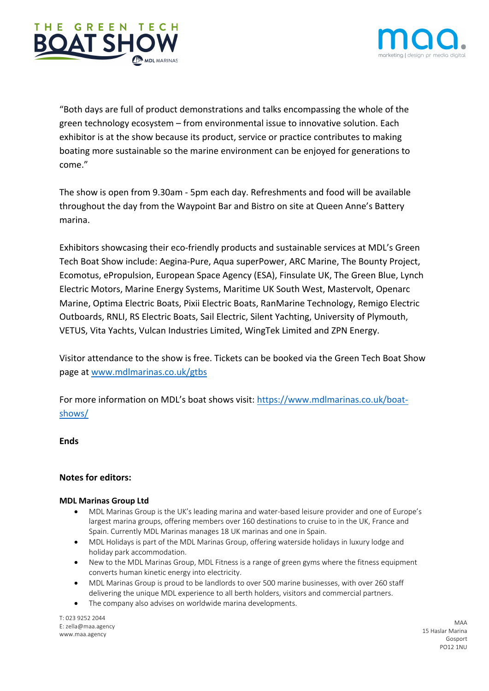



"Both days are full of product demonstrations and talks encompassing the whole of the green technology ecosystem – from environmental issue to innovative solution. Each exhibitor is at the show because its product, service or practice contributes to making boating more sustainable so the marine environment can be enjoyed for generations to come."

The show is open from 9.30am - 5pm each day. Refreshments and food will be available throughout the day from the Waypoint Bar and Bistro on site at Queen Anne's Battery marina.

Exhibitors showcasing their eco-friendly products and sustainable services at MDL's Green Tech Boat Show include: Aegina-Pure, Aqua superPower, ARC Marine, The Bounty Project, Ecomotus, ePropulsion, European Space Agency (ESA), Finsulate UK, The Green Blue, Lynch Electric Motors, Marine Energy Systems, Maritime UK South West, Mastervolt, Openarc Marine, Optima Electric Boats, Pixii Electric Boats, RanMarine Technology, Remigo Electric Outboards, RNLI, RS Electric Boats, Sail Electric, Silent Yachting, University of Plymouth, VETUS, Vita Yachts, Vulcan Industries Limited, WingTek Limited and ZPN Energy.

Visitor attendance to the show is free. Tickets can be booked via the Green Tech Boat Show page at www.mdlmarinas.co.uk/gtbs

For more information on MDL's boat shows visit: https://www.mdlmarinas.co.uk/boatshows/

## **Ends**

## **Notes for editors:**

#### **MDL Marinas Group Ltd**

- MDL Marinas Group is the UK's leading marina and water-based leisure provider and one of Europe's largest marina groups, offering members over 160 destinations to cruise to in the UK, France and Spain. Currently MDL Marinas manages 18 UK marinas and one in Spain.
- MDL Holidays is part of the MDL Marinas Group, offering waterside holidays in luxury lodge and holiday park accommodation.
- New to the MDL Marinas Group, MDL Fitness is a range of green gyms where the fitness equipment converts human kinetic energy into electricity.
- MDL Marinas Group is proud to be landlords to over 500 marine businesses, with over 260 staff delivering the unique MDL experience to all berth holders, visitors and commercial partners.
- The company also advises on worldwide marina developments.

T: 023 9252 2044 E: zella@maa.agency www.maa.agency